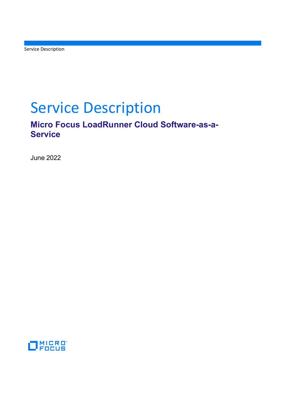Service Description

# Service Description

## Micro Focus LoadRunner Cloud Software-as-a-**Service**

June 2022

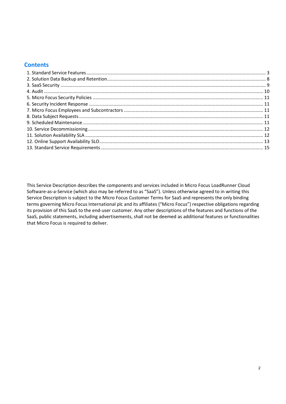## **Contents**

This Service Description describes the components and services included in Micro Focus LoadRunner Cloud Software-as-a-Service (which also may be referred to as "SaaS"). Unless otherwise agreed to in writing this Service Description is subject to the Micro Focus Customer Terms for SaaS and represents the only binding terms governing Micro Focus International plc and its affiliates ("Micro Focus") respective obligations regarding its provision of this SaaS to the end-user customer. Any other descriptions of the features and functions of the SaaS, public statements, including advertisements, shall not be deemed as additional features or functionalities that Micro Focus is required to deliver.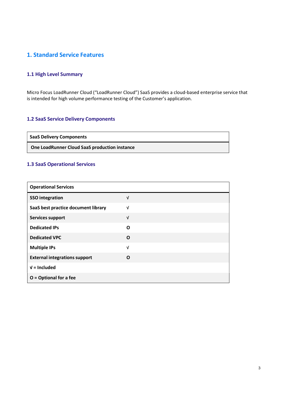## 1. Standard Service Features

## 1.1 High Level Summary

Micro Focus LoadRunner Cloud ("LoadRunner Cloud") SaaS provides a cloud-based enterprise service that is intended for high volume performance testing of the Customer's application.

## 1.2 SaaS Service Delivery Components

SaaS Delivery Components

One LoadRunner Cloud SaaS production instance

## 1.3 SaaS Operational Services

| <b>Operational Services</b>          |            |
|--------------------------------------|------------|
| <b>SSO</b> integration               | $\sqrt{ }$ |
| SaaS best practice document library  | $\sqrt{ }$ |
| <b>Services support</b>              | $\sqrt{ }$ |
| <b>Dedicated IPs</b>                 | O          |
| <b>Dedicated VPC</b>                 | O          |
| <b>Multiple IPs</b>                  | $\sqrt{ }$ |
| <b>External integrations support</b> | O          |
| $V =$ Included                       |            |
| $O =$ Optional for a fee             |            |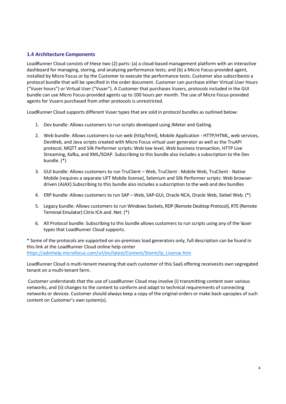## 1.4 Architecture Components

LoadRunner Cloud consists of these two (2) parts: (a) a cloud-based management platform with an interactive dashboard for managing, storing, and analyzing performance tests; and (b) a Micro Focus-provided agent, installed by Micro Focus or by the Customer to execute the performance tests. Customer also subscribesto a protocol bundle that will be specified in the order document. Customer can purchase either Virtual User Hours ("Vuser hours") or Virtual User ("Vuser"). A Customer that purchases Vusers, protocols included in the GUI bundle can use Micro Focus-provided agents up to 100 hours per month. The use of Micro Focus-provided agents for Vusers purchased from other protocols is unrestricted.

LoadRunner Cloud supports different Vuser types that are sold in protocol bundles as outlined below:

- 1. Dev bundle: Allows customers to run scripts developed using JMeter and Gatling.
- 2. Web bundle: Allows customers to run web (http/html), Mobile Application HTTP/HTML, web services, DevWeb, and Java scripts created with Micro Focus virtual user generator as well as the TruAPI protocol, MQTT and Silk Performer scripts: Web low level, Web business transaction, HTTP Live Streaming, Kafka, and XML/SOAP. Subscribing to this bundle also includes a subscription to the Dev bundle. (\*)
- 3. GUI bundle: Allows customers to run TruClient Web, TruClient Mobile Web, TruClient Native Mobile (requires a separate UFT Mobile license), Selenium and Silk Performer scripts: Web browserdriven (AJAX). Subscribing to this bundle also includes a subscription to the web and dev bundles
- 4. ERP bundle: Allows customers to run SAP Web, SAP-GUI, Oracle NCA, Oracle Web, Siebel Web. (\*)
- 5. Legacy bundle: Allows customers to run Windows Sockets, RDP (Remote Desktop Protocol), RTE (Remote Terminal Emulator) Citrix ICA and .Net. (\*)
- 6. All Protocol bundle: Subscribing to this bundle allows customers to run scripts using any of the Vuser types that LoadRunner Cloud supports.

\* Some of the protocols are supported on on-premises load generators only, full description can be found in this link at the LoadRunner Cloud online help center https://admhelp.microfocus.com/srl/en/latest/Content/Storm/lp\_License.htm

LoadRunner Cloud is multi-tenant meaning that each customer of this SaaS offering receivesits own segregated tenant on a multi-tenant farm.

Customer understands that the use of LoadRunner Cloud may involve (i) transmitting content over various networks, and (ii) changes to the content to conform and adapt to technical requirements of connecting networks or devices. Customer should always keep a copy of the original orders or make back-upcopies of such content on Customer's own system(s).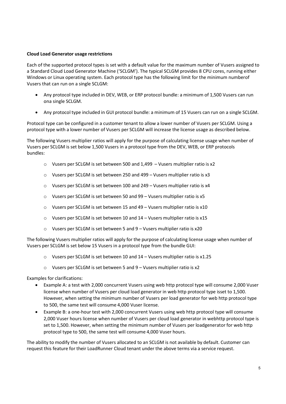## Cloud Load Generator usage restrictions

Each of the supported protocol types is set with a default value for the maximum number of Vusers assigned to a Standard Cloud Load Generator Machine ('SCLGM'). The typical SCLGM provides 8 CPU cores, running either Windows or Linux operating system. Each protocol type has the following limit for the minimum number of Vusers that can run on a single SCLGM:

- Any protocol type included in DEV, WEB, or ERP protocol bundle: a minimum of 1,500 Vusers can run ona single SCLGM.
- Any protocol type included in GUI protocol bundle: a minimum of 15 Vusers can run on a single SCLGM.

Protocol type can be configured in a customer tenant to allow a lower number of Vusers per SCLGM. Using a protocol type with a lower number of Vusers per SCLGM will increase the license usage as described below.

The following Vusers multiplier ratios will apply for the purpose of calculating license usage when number of Vusers per SCLGM is set below 1,500 Vusers in a protocol type from the DEV, WEB, or ERP protocols bundles:

- $\circ$  Vusers per SCLGM is set between 500 and 1,499 Vusers multiplier ratio is x2
- o Vusers per SCLGM is set between 250 and 499 Vusers multiplier ratio is x3
- o Vusers per SCLGM is set between 100 and 249 Vusers multiplier ratio is x4
- o Vusers per SCLGM is set between 50 and 99 Vusers multiplier ratio is x5
- o Vusers per SCLGM is set between 15 and 49 Vusers multiplier ratio is x10
- o Vusers per SCLGM is set between 10 and 14 Vusers multiplier ratio is x15
- o Vusers per SCLGM is set between 5 and 9 Vusers multiplier ratio is x20

The following Vusers multiplier ratios will apply for the purpose of calculating license usage when number of Vusers per SCLGM is set below 15 Vusers in a protocol type from the bundle GUI:

- $\circ$  Vusers per SCLGM is set between 10 and 14 Vusers multiplier ratio is x1.25
- $\circ$  Vusers per SCLGM is set between 5 and 9 Vusers multiplier ratio is x2

Examples for clarifications:

- Example A: a test with 2,000 concurrent Vusers using web http protocol type will consume 2,000 Vuser license when number of Vusers per cloud load generator in web http protocol type isset to 1,500. However, when setting the minimum number of Vusers per load generator for web http protocol type to 500, the same test will consume 4,000 Vuser license.
- Example B: a one-hour test with 2,000 concurrent Vusers using web http protocol type will consume 2,000 Vuser hours license when number of Vusers per cloud load generator in webhttp protocol type is set to 1,500. However, when setting the minimum number of Vusers per loadgenerator for web http protocol type to 500, the same test will consume 4,000 Vuser hours.

The ability to modify the number of Vusers allocated to an SCLGM is not available by default. Customer can request this feature for their LoadRunner Cloud tenant under the above terms via a service request.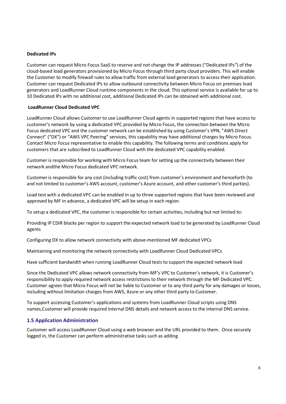#### Dedicated IPs

Customer can request Micro Focus SaaS to reserve and not change the IP addresses ("Dedicated IPs") of the cloud-based load generators provisioned by Micro Focus through third party cloud providers. This will enable the Customer to modify firewall rules to allow traffic from external load generators to access their application. Customer can request Dedicated IPs to allow outbound connectivity between Micro Focus on premises load generators and LoadRunner Cloud runtime components in the cloud. This optional service is available for up to 10 Dedicated IPs with no additional cost, additional Dedicated IPs can be obtained with additional cost.

#### LoadRunner Cloud Dedicated VPC

LoadRunner Cloud allows Customer to use LoadRunner Cloud agents in supported regions that have access to customer's network by using a dedicated VPC provided by Micro Focus, the connection between the Micro Focus dedicated VPC and the customer network can be established by using Customer's VPN, "AWS Direct Connect" ("DX") or "AWS VPC Peering" services, this capability may have additional charges by Micro Focus. Contact Micro Focus representative to enable this capability. The following terms and conditions apply for customers that are subscribed to LoadRunner Cloud with the dedicated VPC capability enabled.

Customer is responsible for working with Micro Focus team for setting up the connectivity between their network and the Micro Focus dedicated VPC network.

Customer is responsible for any cost (including traffic cost) from customer's environment and henceforth (to and not limited to customer's AWS account, customer's Azure account, and other customer's third parties).

Load test with a dedicated VPC can be enabled in up to three supported regions that have been reviewed and approved by MF in advance, a dedicated VPC will be setup in each region.

To setup a dedicated VPC, the customer is responsible for certain activities, including but not limited to:

Providing IP CDIR blocks per region to support the expected network load to be generated by LoadRunner Cloud agents

Configuring DX to allow network connectivity with above-mentioned MF dedicated VPCs

Maintaining and monitoring the network connectivity with LoadRunner Cloud Dedicated VPCs

Have sufficient bandwidth when running LoadRunner Cloud tests to support the expected network load

Since the Dedicated VPC allows network connectivity from MF's VPC to Customer's network, it is Customer's responsibility to apply required network access restrictions to their network through the MF Dedicated VPC. Customer agrees that Micro Focus will not be liable to Customer or to any third party for any damages or losses, including without limitation charges from AWS, Azure or any other third party to Customer.

To support accessing Customer's applications and systems from LoadRunner Cloud scripts using DNS names, Customer will provide required internal DNS details and network access to the internal DNS service.

## 1.5 Application Administration

Customer will access LoadRunner Cloud using a web browser and the URL provided to them. Once securely logged in, the Customer can perform administrative tasks such as adding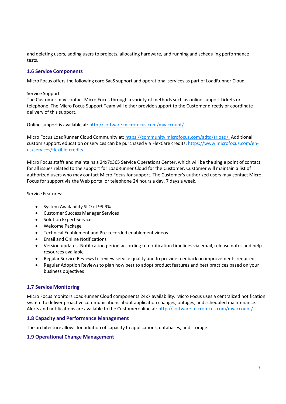and deleting users, adding users to projects, allocating hardware, and running and scheduling performance tests.

## 1.6 Service Components

Micro Focus offers the following core SaaS support and operational services as part of LoadRunner Cloud.

#### Service Support

The Customer may contact Micro Focus through a variety of methods such as online support tickets or telephone. The Micro Focus Support Team will either provide support to the Customer directly or coordinate delivery of this support.

Online support is available at: http://software.microfocus.com/myaccount/

Micro Focus LoadRunner Cloud Community at: https://community.microfocus.com/adtd/srload/. Additional custom support, education or services can be purchased via FlexCare credits: https://www.microfocus.com/enus/services/flexible-credits

Micro Focus staffs and maintains a 24x7x365 Service Operations Center, which will be the single point of contact for all issues related to the support for LoadRunner Cloud for the Customer. Customer will maintain a list of authorized users who may contact Micro Focus for support. The Customer's authorized users may contact Micro Focus for support via the Web portal or telephone 24 hours a day, 7 days a week.

Service Features:

- System Availability SLO of 99.9%
- Customer Success Manager Services
- Solution Expert Services
- Welcome Package
- Technical Enablement and Pre-recorded enablement videos
- Email and Online Notifications
- Version updates. Notification period according to notification timelines via email, release notes and help resources available
- Regular Service Reviews to review service quality and to provide feedback on improvements required
- Regular Adoption Reviews to plan how best to adopt product features and best practices based on your business objectives

## 1.7 Service Monitoring

Micro Focus monitors LoadRunner Cloud components 24x7 availability. Micro Focus uses a centralized notification system to deliver proactive communications about application changes, outages, and scheduled maintenance. Alerts and notifications are available to the Customeronline at: http://software.microfocus.com/myaccount/

## 1.8 Capacity and Performance Management

The architecture allows for addition of capacity to applications, databases, and storage.

## 1.9 Operational Change Management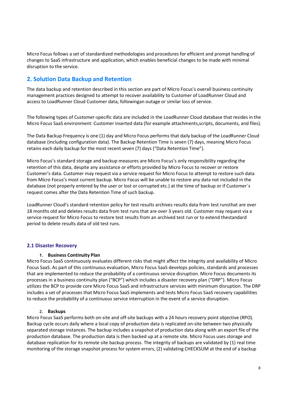Micro Focus follows a set of standardized methodologies and procedures for efficient and prompt handling of changes to SaaS infrastructure and application, which enables beneficial changes to be made with minimal disruption to the service.

## 2. Solution Data Backup and Retention

The data backup and retention described in this section are part of Micro Focus's overall business continuity management practices designed to attempt to recover availability to Customer of LoadRunner Cloud and access to LoadRunner Cloud Customer data, following an outage or similar loss of service.

The following types of Customer-specific data are included in the LoadRunner Cloud database that resides in the Micro Focus SaaS environment: Customer inserted data (for example attachments, scripts, documents, and files).

The Data Backup Frequency is one (1) day and Micro Focus performs that daily backup of the LoadRunner Cloud database (including configuration data). The Backup Retention Time is seven (7) days, meaning Micro Focus retains each daily backup for the most recent seven (7) days ("Data Retention Time").

Micro Focus's standard storage and backup measures are Micro Focus's only responsibility regarding the retention of this data, despite any assistance or efforts provided by Micro Focus to recover or restore Customer's data. Customer may request via a service request for Micro Focus to attempt to restore such data from Micro Focus's most current backup. Micro Focus will be unable to restore any data not included in the database (not properly entered by the user or lost or corrupted etc.) at the time of backup or if Customer´s request comes after the Data Retention Time of such backup.

LoadRunner Cloud's standard retention policy for test results archives results data from test runsthat are over 18 months old and deletes results data from test runs that are over 3 years old. Customer may request via a service request for Micro Focus to restore test results from an archived test run or to extend the standard period to delete results data of old test runs.

## 2.1 Disaster Recovery

## 1. Business Continuity Plan

Micro Focus SaaS continuously evaluates different risks that might affect the integrity and availability of Micro Focus SaaS. As part of this continuous evaluation, Micro Focus SaaS develops policies, standards and processes that are implemented to reduce the probability of a continuous service disruption. Micro Focus documents its processes in a business continuity plan ("BCP") which includes a disaster recovery plan ("DRP"). Micro Focus utilizes the BCP to provide core Micro Focus SaaS and infrastructure services with minimum disruption. The DRP includes a set of processes that Micro Focus SaaS implements and tests Micro Focus SaaS recovery capabilities to reduce the probability of a continuous service interruption in the event of a service disruption.

## 2. Backups

Micro Focus SaaS performs both on-site and off-site backups with a 24 hours recovery point objective (RPO). Backup cycle occurs daily where a local copy of production data is replicated on-site between two physically separated storage instances. The backup includes a snapshot of production data along with an export file of the production database. The production data is then backed up at a remote site. Micro Focus uses storage and database replication for its remote site backup process. The integrity of backups are validated by (1) real time monitoring of the storage snapshot process for system errors, (2) validating CHECKSUM at the end of a backup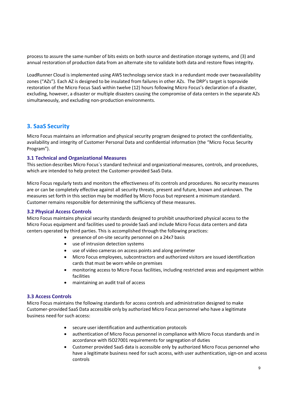process to assure the same number of bits exists on both source and destination storage systems, and (3) and annual restoration of production data from an alternate site to validate both data and restore flows integrity.

LoadRunner Cloud is implemented using AWS technology service stack in a redundant mode over two availability zones ("AZs"). Each AZ is designed to be insulated from failures in other AZs. The DRP's target is toprovide restoration of the Micro Focus SaaS within twelve (12) hours following Micro Focus's declaration of a disaster, excluding, however, a disaster or multiple disasters causing the compromise of data centers in the separate AZs simultaneously, and excluding non-production environments.

## 3. SaaS Security

Micro Focus maintains an information and physical security program designed to protect the confidentiality, availability and integrity of Customer Personal Data and confidential information (the "Micro Focus Security Program").

## 3.1 Technical and Organizational Measures

This section describes Micro Focus´s standard technical and organizational measures, controls, and procedures, which are intended to help protect the Customer-provided SaaS Data.

Micro Focus regularly tests and monitors the effectiveness of its controls and procedures. No security measures are or can be completely effective against all security threats, present and future, known and unknown. The measures set forth in this section may be modified by Micro Focus but represent a minimum standard. Customer remains responsible for determining the sufficiency of these measures.

## 3.2 Physical Access Controls

Micro Focus maintains physical security standards designed to prohibit unauthorized physical access to the Micro Focus equipment and facilities used to provide SaaS and include Micro Focus data centers and data centers operated by third parties. This is accomplished through the following practices:

- presence of on-site security personnel on a 24x7 basis
- use of intrusion detection systems
- use of video cameras on access points and along perimeter
- Micro Focus employees, subcontractors and authorized visitors are issued identification cards that must be worn while on premises
- monitoring access to Micro Focus facilities, including restricted areas and equipment within facilities
- maintaining an audit trail of access

## 3.3 Access Controls

Micro Focus maintains the following standards for access controls and administration designed to make Customer-provided SaaS Data accessible only by authorized Micro Focus personnel who have a legitimate business need for such access:

- secure user identification and authentication protocols
- authentication of Micro Focus personnel in compliance with Micro Focus standards and in accordance with ISO27001 requirements for segregation of duties
- Customer provided SaaS data is accessible only by authorized Micro Focus personnel who have a legitimate business need for such access, with user authentication, sign-on and access controls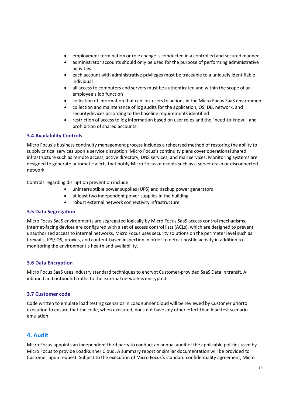- employment termination or role change is conducted in a controlled and secured manner
- administrator accounts should only be used for the purpose of performing administrative activities
- each account with administrative privileges must be traceable to a uniquely identifiable individual
- all access to computers and servers must be authenticated and within the scope of an employee's job function
- collection of information that can link users to actions in the Micro Focus SaaS environment
- collection and maintenance of log audits for the application, OS, DB, network, and security devices according to the baseline requirements identified
- restriction of access to log information based on user roles and the "need-to-know;" and prohibition of shared accounts

## 3.4 Availability Controls

Micro Focus´s business continuity management process includes a rehearsed method of restoring the ability to supply critical services upon a service disruption. Micro Focus's continuity plans cover operational shared infrastructure such as remote access, active directory, DNS services, and mail services. Monitoring systems are designed to generate automatic alerts that notify Micro Focus of events such as a server crash or disconnected network.

Controls regarding disruption prevention include:

- uninterruptible power supplies (UPS) and backup power generators
- at least two independent power supplies in the building
- robust external network connectivity infrastructure

## 3.5 Data Segregation

Micro Focus SaaS environments are segregated logically by Micro Focus SaaS access control mechanisms. Internet-facing devices are configured with a set of access control lists (ACLs), which are designed to prevent unauthorized access to internal networks. Micro Focus uses security solutions on the perimeter level such as: firewalls, IPS/IDS, proxies, and content-based inspection in order to detect hostile activity in addition to monitoring the environment's health and availability.

## 3.6 Data Encryption

Micro Focus SaaS uses industry standard techniques to encrypt Customer-provided SaaS Data in transit. All inbound and outbound traffic to the external network is encrypted.

## 3.7 Customer code

Code written to emulate load testing scenarios in LoadRunner Cloud will be reviewed by Customer priorto execution to ensure that the code, when executed, does not have any other effect than load test scenario emulation.

## 4. Audit

Micro Focus appoints an independent third party to conduct an annual audit of the applicable policies used by Micro Focus to provide LoadRunner Cloud. A summary report or similar documentation will be provided to Customer upon request. Subject to the execution of Micro Focus's standard confidentiality agreement, Micro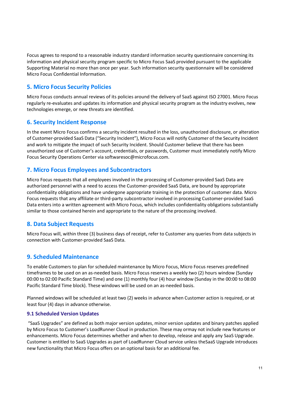Focus agrees to respond to a reasonable industry standard information security questionnaire concerning its information and physical security program specific to Micro Focus SaaS provided pursuant to the applicable Supporting Material no more than once per year. Such information security questionnaire will be considered Micro Focus Confidential Information.

## 5. Micro Focus Security Policies

Micro Focus conducts annual reviews of its policies around the delivery of SaaS against ISO 27001. Micro Focus regularly re-evaluates and updates its information and physical security program as the industry evolves, new technologies emerge, or new threats are identified.

## 6. Security Incident Response

In the event Micro Focus confirms a security incident resulted in the loss, unauthorized disclosure, or alteration of Customer-provided SaaS Data ("Security Incident"), Micro Focus will notify Customer of the Security Incident and work to mitigate the impact of such Security Incident. Should Customer believe that there has been unauthorized use of Customer's account, credentials, or passwords, Customer must immediately notify Micro Focus Security Operations Center via softwaresoc@microfocus.com.

## 7. Micro Focus Employees and Subcontractors

Micro Focus requests that all employees involved in the processing of Customer-provided SaaS Data are authorized personnel with a need to access the Customer-provided SaaS Data, are bound by appropriate confidentiality obligations and have undergone appropriate training in the protection of customer data. Micro Focus requests that any affiliate or third-party subcontractor involved in processing Customer-provided SaaS Data enters into a written agreement with Micro Focus, which includes confidentiality obligations substantially similar to those contained herein and appropriate to the nature of the processing involved.

## 8. Data Subject Requests

Micro Focus will, within three (3) business days of receipt, refer to Customer any queries from data subjects in connection with Customer-provided SaaS Data.

## 9. Scheduled Maintenance

To enable Customers to plan for scheduled maintenance by Micro Focus, Micro Focus reserves predefined timeframes to be used on an as-needed basis. Micro Focus reserves a weekly two (2) hours window (Sunday 00:00 to 02:00 Pacific Standard Time) and one (1) monthly four (4) hour window (Sunday in the 00:00 to 08:00 Pacific Standard Time block). These windows will be used on an as-needed basis.

Planned windows will be scheduled at least two (2) weeks in advance when Customer action is required, or at least four (4) days in advance otherwise.

## 9.1 Scheduled Version Updates

"SaaS Upgrades" are defined as both major version updates, minor version updates and binary patches applied by Micro Focus to Customer's LoadRunner Cloud in production. These may ormay not include new features or enhancements. Micro Focus determines whether and when to develop, release and apply any SaaS Upgrade. Customer is entitled to SaaS Upgrades as part of LoadRunner Cloud service unless the SaaS Upgrade introduces new functionality that Micro Focus offers on an optional basis for an additional fee.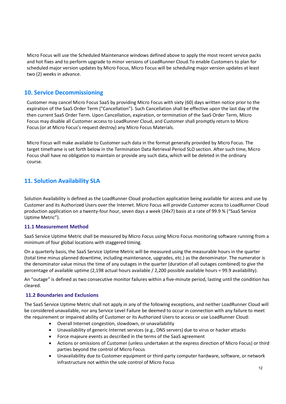Micro Focus will use the Scheduled Maintenance windows defined above to apply the most recent service packs and hot fixes and to perform upgrade to minor versions of LoadRunner Cloud. To enable Customers to plan for scheduled major version updates by Micro Focus, Micro Focus will be scheduling major version updates at least two (2) weeks in advance.

## 10. Service Decommissioning

Customer may cancel Micro Focus SaaS by providing Micro Focus with sixty (60) days written notice prior to the expiration of the SaaS Order Term ("Cancellation"). Such Cancellation shall be effective upon the last day of the then current SaaS Order Term. Upon Cancellation, expiration, or termination of the SaaS Order Term, Micro Focus may disable all Customer access to LoadRunner Cloud, and Customer shall promptly return to Micro Focus (or at Micro Focus's request destroy) any Micro Focus Materials.

Micro Focus will make available to Customer such data in the format generally provided by Micro Focus. The target timeframe is set forth below in the Termination Data Retrieval Period SLO section. After such time, Micro Focus shall have no obligation to maintain or provide any such data, which will be deleted in the ordinary course.

## 11. Solution Availability SLA

Solution Availability is defined as the LoadRunner Cloud production application being available for access and use by Customer and its Authorized Users over the Internet. Micro Focus will provide Customer access to LoadRunner Cloud production application on a twenty-four hour, seven days a week (24x7) basis at a rate of 99.9 % ("SaaS Service Uptime Metric").

## 11.1 Measurement Method

SaaS Service Uptime Metric shall be measured by Micro Focus using Micro Focus monitoring software running from a minimum of four global locations with staggered timing.

On a quarterly basis, the SaaS Service Uptime Metric will be measured using the measurable hours in the quarter (total time minus planned downtime, including maintenance, upgrades, etc.) as the denominator. The numerator is the denominator value minus the time of any outages in the quarter (duration of all outages combined) to give the percentage of available uptime (2,198 actual hours available / 2,200 possible available hours = 99.9 availability).

An "outage" is defined as two consecutive monitor failures within a five-minute period, lasting until the condition has cleared.

## 11.2 Boundaries and Exclusions

The SaaS Service Uptime Metric shall not apply in any of the following exceptions, and neither LoadRunner Cloud will be considered unavailable, nor any Service Level Failure be deemed to occur in connection with any failure to meet the requirement or impaired ability of Customer or its Authorized Users to access or use LoadRunner Cloud:

- Overall Internet congestion, slowdown, or unavailability
- Unavailability of generic Internet services (e.g., DNS servers) due to virus or hacker attacks
- Force majeure events as described in the terms of the SaaS agreement
- Actions or omissions of Customer (unless undertaken at the express direction of Micro Focus) or third parties beyond the control of Micro Focus
- Unavailability due to Customer equipment or third-party computer hardware, software, or network infrastructure not within the sole control of Micro Focus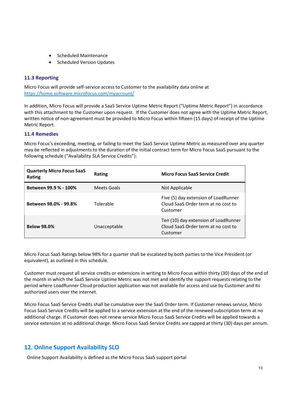- Scheduled Maintenance
- Scheduled Version Updates

## 11.3 Reporting

Micro Focus will provide self-service access to Customer to the availability data online at https://home.software.microfocus.com/myaccount/

In addition, Micro Focus will provide a SaaS Service Uptime Metric Report ("Uptime Metric Report") in accordance with this attachment to the Customer upon request. If the Customer does not agree with the Uptime Metric Report, written notice of non-agreement must be provided to Micro Focus within fifteen (15 days) of receipt of the Uptime Metric Report.

## 11.4 Remedies

Micro Focus's exceeding, meeting, or failing to meet the SaaS Service Uptime Metric as measured over any quarter may be reflected in adjustments to the duration of the initial contract term for Micro Focus SaaS pursuant to the following schedule ("Availability SLA Service Credits"):

| <b>Quarterly Micro Focus SaaS</b><br>Rating | Rating       | <b>Micro Focus SaaS Service Credit</b>                                                  |
|---------------------------------------------|--------------|-----------------------------------------------------------------------------------------|
| Between 99.9 % - 100%                       | Meets Goals  | Not Applicable                                                                          |
| Between 98.0% - 99.8%                       | Tolerable    | Five (5) day extension of LoadRunner<br>Cloud SaaS Order term at no cost to<br>Customer |
| <b>Below 98.0%</b>                          | Unacceptable | Ten (10) day extension of LoadRunner<br>Cloud SaaS Order term at no cost to<br>Customer |

Micro Focus SaaS Ratings below 98% for a quarter shall be escalated by both parties to the Vice President (or equivalent), as outlined in this schedule.

Customer must request all service credits or extensions in writing to Micro Focus within thirty (30) days of the end of the month in which the SaaS Service Uptime Metric was not met and identify the support requests relating to the period where LoadRunner Cloud production application was not available for access and use by Customer and its authorized users over the internet.

Micro Focus SaaS Service Credits shall be cumulative over the SaaS Order term. If Customer renews service, Micro Focus SaaS Service Credits will be applied to a service extension at the end of the renewed subscription term at no additional charge. If Customer does not renew service Micro Focus SaaS Service Credits will be applied towards a service extension at no additional charge. Micro Focus SaaS Service Credits are capped at thirty (30) days per annum.

## 12. Online Support Availability SLO

Online Support Availability is defined as the Micro Focus SaaS support portal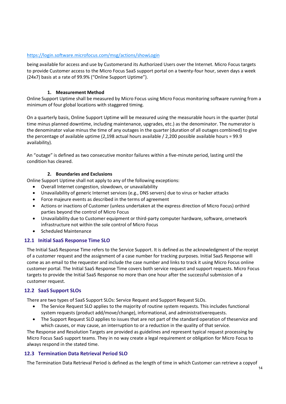## https://login.software.microfocus.com/msg/actions/showLogin

being available for access and use by Customerand its Authorized Users over the Internet. Micro Focus targets to provide Customer access to the Micro Focus SaaS support portal on a twenty-four hour, seven days a week (24x7) basis at a rate of 99.9% ("Online Support Uptime").

## 1. Measurement Method

Online Support Uptime shall be measured by Micro Focus using Micro Focus monitoring software running from a minimum of four global locations with staggered timing.

On a quarterly basis, Online Support Uptime will be measured using the measurable hours in the quarter (total time minus planned downtime, including maintenance, upgrades, etc.) as the denominator. The numerator is the denominator value minus the time of any outages in the quarter (duration of all outages combined) to give the percentage of available uptime (2,198 actual hours available / 2,200 possible available hours = 99.9 availability).

An "outage" is defined as two consecutive monitor failures within a five-minute period, lasting until the condition has cleared.

## 2. Boundaries and Exclusions

Online Support Uptime shall not apply to any of the following exceptions:

- Overall Internet congestion, slowdown, or unavailability
- Unavailability of generic Internet services (e.g., DNS servers) due to virus or hacker attacks
- Force majeure events as described in the terms of agreement
- Actions or inactions of Customer (unless undertaken at the express direction of Micro Focus) or third parties beyond the control of Micro Focus
- Unavailability due to Customer equipment or third-party computer hardware, software, or network infrastructure not within the sole control of Micro Focus
- Scheduled Maintenance

## 12.1 Initial SaaS Response Time SLO

The Initial SaaS Response Time refers to the Service Support. It is defined as the acknowledgment of the receipt of a customer request and the assignment of a case number for tracking purposes. Initial SaaS Response will come as an email to the requester and include the case number and links to track it using Micro Focus online customer portal. The Initial SaaS Response Time covers both service request and support requests. Micro Focus targets to provide the Initial SaaS Response no more than one hour after the successful submission of a customer request.

## 12.2 SaaS Support SLOs

There are two types of SaaS Support SLOs: Service Request and Support Request SLOs.

- The Service Request SLO applies to the majority of routine system requests. This includes functional system requests (product add/move/change), informational, and administrativerequests.
- The Support Request SLO applies to issues that are not part of the standard operation of the service and which causes, or may cause, an interruption to or a reduction in the quality of that service.

The Response and Resolution Targets are provided as guidelines and represent typical request processing by Micro Focus SaaS support teams. They in no way create a legal requirement or obligation for Micro Focus to always respond in the stated time.

## 12.3 Termination Data Retrieval Period SLO

The Termination Data Retrieval Period is defined as the length of time in which Customer can retrieve a copyof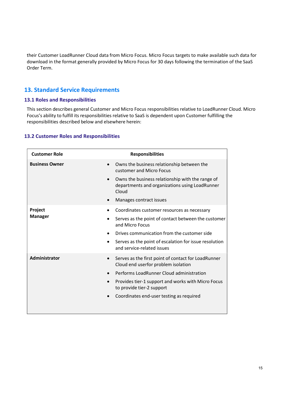their Customer LoadRunner Cloud data from Micro Focus. Micro Focus targets to make available such data for download in the format generally provided by Micro Focus for 30 days following the termination of the SaaS Order Term.

## 13. Standard Service Requirements

## 13.1 Roles and Responsibilities

This section describes general Customer and Micro Focus responsibilities relative to LoadRunner Cloud. Micro Focus's ability to fulfill its responsibilities relative to SaaS is dependent upon Customer fulfilling the responsibilities described below and elsewhere herein:

## 13.2 Customer Roles and Responsibilities

| <b>Customer Role</b>      | <b>Responsibilities</b>                                                                                     |
|---------------------------|-------------------------------------------------------------------------------------------------------------|
| <b>Business Owner</b>     | Owns the business relationship between the<br>customer and Micro Focus                                      |
|                           | Owns the business relationship with the range of<br>departments and organizations using LoadRunner<br>Cloud |
|                           | Manages contract issues                                                                                     |
| Project<br><b>Manager</b> | Coordinates customer resources as necessary                                                                 |
|                           | Serves as the point of contact between the customer<br>and Micro Focus                                      |
|                           | Drives communication from the customer side                                                                 |
|                           | Serves as the point of escalation for issue resolution<br>and service-related issues                        |
| Administrator             | Serves as the first point of contact for LoadRunner<br>Cloud end userfor problem isolation                  |
|                           | Performs LoadRunner Cloud administration                                                                    |
|                           | Provides tier-1 support and works with Micro Focus<br>to provide tier-2 support                             |
|                           | Coordinates end-user testing as required                                                                    |
|                           |                                                                                                             |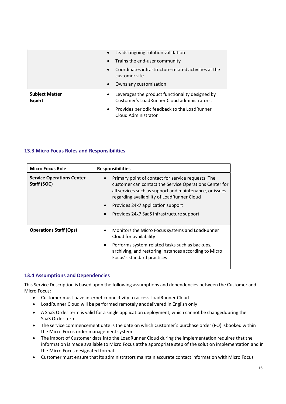|                                 | Leads ongoing solution validation                                                                   |
|---------------------------------|-----------------------------------------------------------------------------------------------------|
|                                 | Trains the end-user community                                                                       |
|                                 | Coordinates infrastructure-related activities at the<br>customer site                               |
|                                 | Owns any customization<br>$\bullet$                                                                 |
| <b>Subject Matter</b><br>Expert | Leverages the product functionality designed by<br>٠<br>Customer's LoadRunner Cloud administrators. |
|                                 | Provides periodic feedback to the LoadRunner<br>Cloud Administrator                                 |
|                                 |                                                                                                     |

## 13.3 Micro Focus Roles and Responsibilities

| <b>Micro Focus Role</b>                         | <b>Responsibilities</b>                                                                                                                                                                                                                                                                                 |
|-------------------------------------------------|---------------------------------------------------------------------------------------------------------------------------------------------------------------------------------------------------------------------------------------------------------------------------------------------------------|
| <b>Service Operations Center</b><br>Staff (SOC) | Primary point of contact for service requests. The<br>customer can contact the Service Operations Center for<br>all services such as support and maintenance, or issues<br>regarding availability of LoadRunner Cloud<br>Provides 24x7 application support<br>Provides 24x7 SaaS infrastructure support |
| <b>Operations Staff (Ops)</b>                   | Monitors the Micro Focus systems and LoadRunner<br>Cloud for availability<br>Performs system-related tasks such as backups,<br>$\bullet$<br>archiving, and restoring instances according to Micro<br>Focus's standard practices                                                                         |

## 13.4 Assumptions and Dependencies

This Service Description is based upon the following assumptions and dependencies between the Customer and Micro Focus:

- Customer must have internet connectivity to access LoadRunner Cloud
- LoadRunner Cloud will be performed remotely and delivered in English only
- A SaaS Order term is valid for a single application deployment, which cannot be changed during the SaaS Order term
- The service commencement date is the date on which Customer's purchase order (PO) is booked within the Micro Focus order management system
- The import of Customer data into the LoadRunner Cloud during the implementation requires that the information is made available to Micro Focus at the appropriate step of the solution implementation and in the Micro Focus designated format
- Customer must ensure that its administrators maintain accurate contact information with Micro Focus